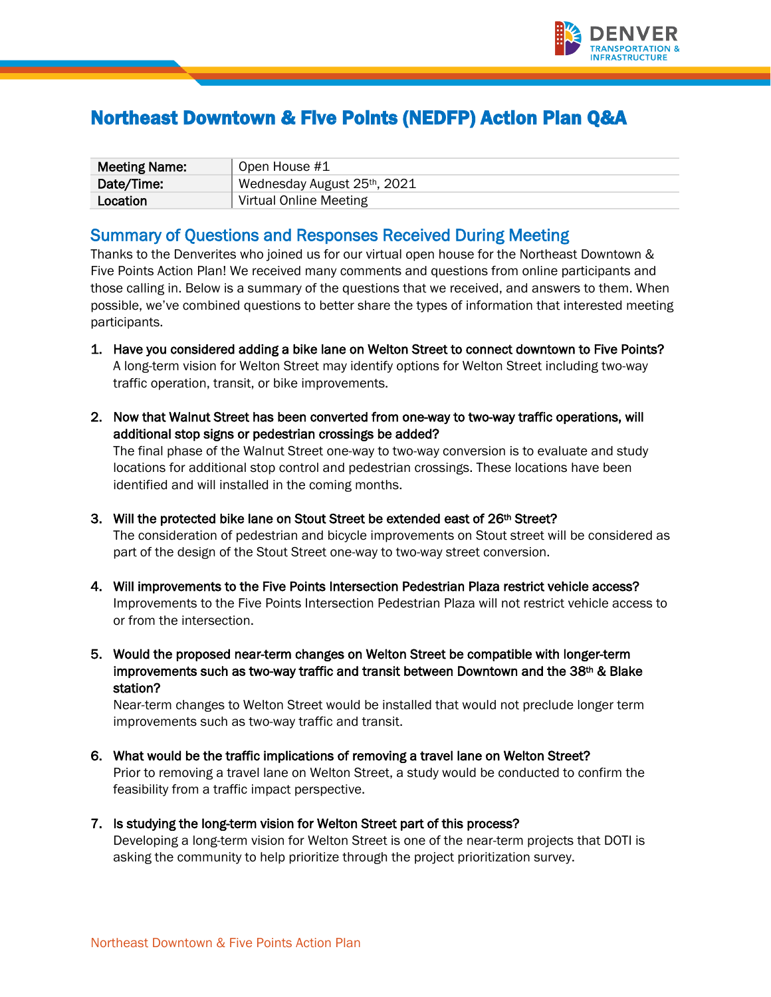

# Northeast Downtown & Five Points (NEDFP) Action Plan Q&A

| <b>Meeting Name:</b> | Open House #1               |
|----------------------|-----------------------------|
| Date/Time:           | Wednesday August 25th, 2021 |
| Location             | Virtual Online Meeting      |

# Summary of Questions and Responses Received During Meeting

 possible, we've combined questions to better share the types of information that interested meeting Thanks to the Denverites who joined us for our virtual open house for the Northeast Downtown & Five Points Action Plan! We received many comments and questions from online participants and those calling in. Below is a summary of the questions that we received, and answers to them. When participants.

- A long-term vision for Welton Street may identify options for Welton Street including two-way 1. Have you considered adding a bike lane on Welton Street to connect downtown to Five Points? traffic operation, transit, or bike improvements.
- 2. Now that Walnut Street has been converted from one-way to two-way traffic operations, will additional stop signs or pedestrian crossings be added? The final phase of the Walnut Street one-way to two-way conversion is to evaluate and study locations for additional stop control and pedestrian crossings. These locations have been identified and will installed in the coming months.
- 3. Will the protected bike lane on Stout Street be extended east of 26<sup>th</sup> Street? The consideration of pedestrian and bicycle improvements on Stout street will be considered as part of the design of the Stout Street one-way to two-way street conversion.
- 4. Will improvements to the Five Points Intersection Pedestrian Plaza restrict vehicle access? Improvements to the Five Points Intersection Pedestrian Plaza will not restrict vehicle access to or from the intersection.
- improvements such as two-way traffic and transit between Downtown and the 38th & Blake 5. Would the proposed near-term changes on Welton Street be compatible with longer-term station?

Near-term changes to Welton Street would be installed that would not preclude longer term improvements such as two-way traffic and transit.

- 6. What would be the traffic implications of removing a travel lane on Welton Street? Prior to removing a travel lane on Welton Street, a study would be conducted to confirm the feasibility from a traffic impact perspective.
- asking the community to help prioritize through the project prioritization survey. 7. Is studying the long-term vision for Welton Street part of this process? Developing a long-term vision for Welton Street is one of the near-term projects that DOTI is